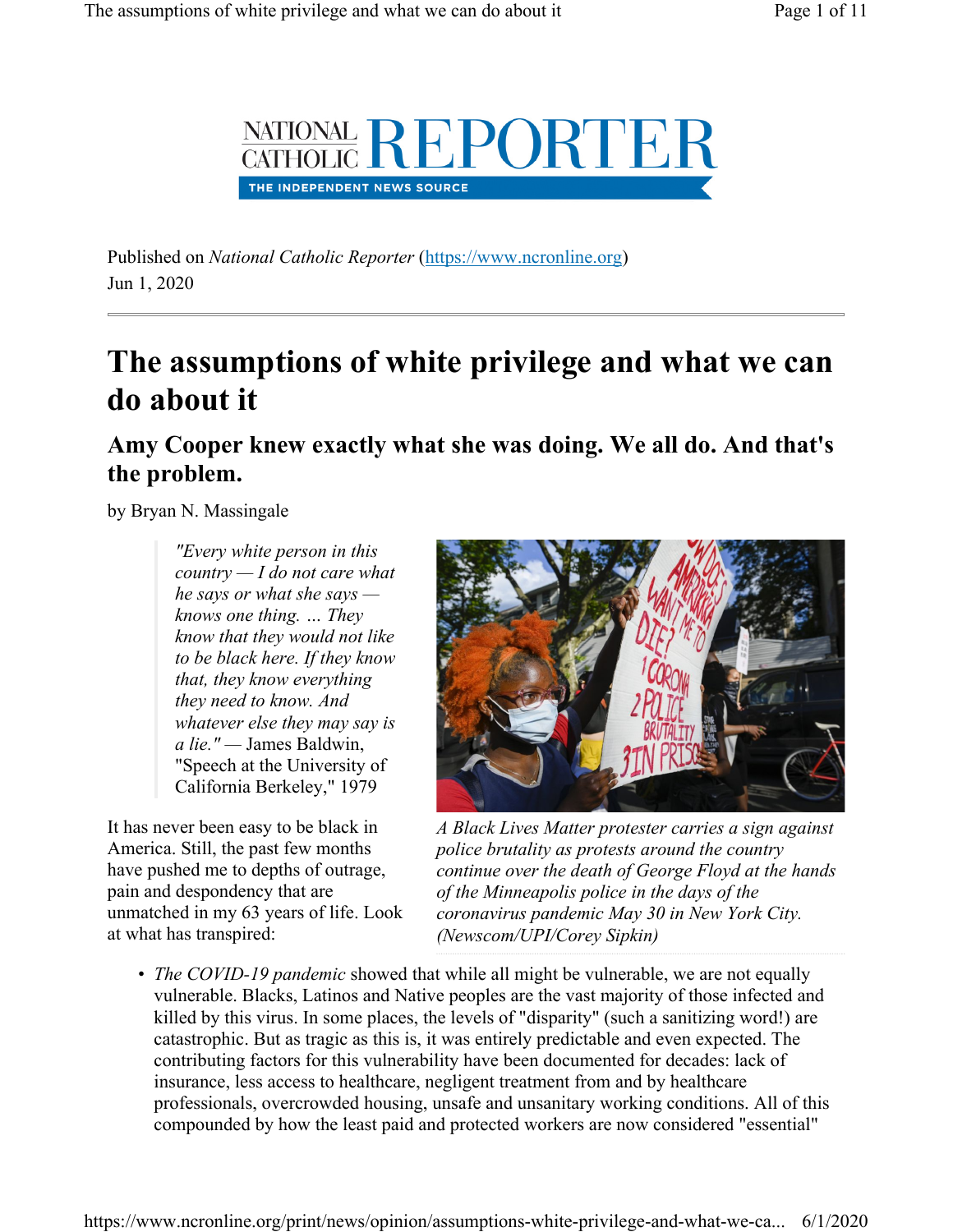

Published on National Catholic Reporter (https://www.ncronline.org) Jun 1, 2020

# The assumptions of white privilege and what we can do about it

Amy Cooper knew exactly what she was doing. We all do. And that's the problem.

by Bryan N. Massingale

"Every white person in this country  $-I$  do not care what he says or what she says knows one thing. … They know that they would not like to be black here. If they know that, they know everything they need to know. And whatever else they may say is a lie." — James Baldwin, "Speech at the University of California Berkeley," 1979

It has never been easy to be black in America. Still, the past few months have pushed me to depths of outrage, pain and despondency that are unmatched in my 63 years of life. Look at what has transpired:



A Black Lives Matter protester carries a sign against police brutality as protests around the country continue over the death of George Floyd at the hands of the Minneapolis police in the days of the coronavirus pandemic May 30 in New York City. (Newscom/UPI/Corey Sipkin)

• The COVID-19 pandemic showed that while all might be vulnerable, we are not equally vulnerable. Blacks, Latinos and Native peoples are the vast majority of those infected and killed by this virus. In some places, the levels of "disparity" (such a sanitizing word!) are catastrophic. But as tragic as this is, it was entirely predictable and even expected. The contributing factors for this vulnerability have been documented for decades: lack of insurance, less access to healthcare, negligent treatment from and by healthcare professionals, overcrowded housing, unsafe and unsanitary working conditions. All of this compounded by how the least paid and protected workers are now considered "essential"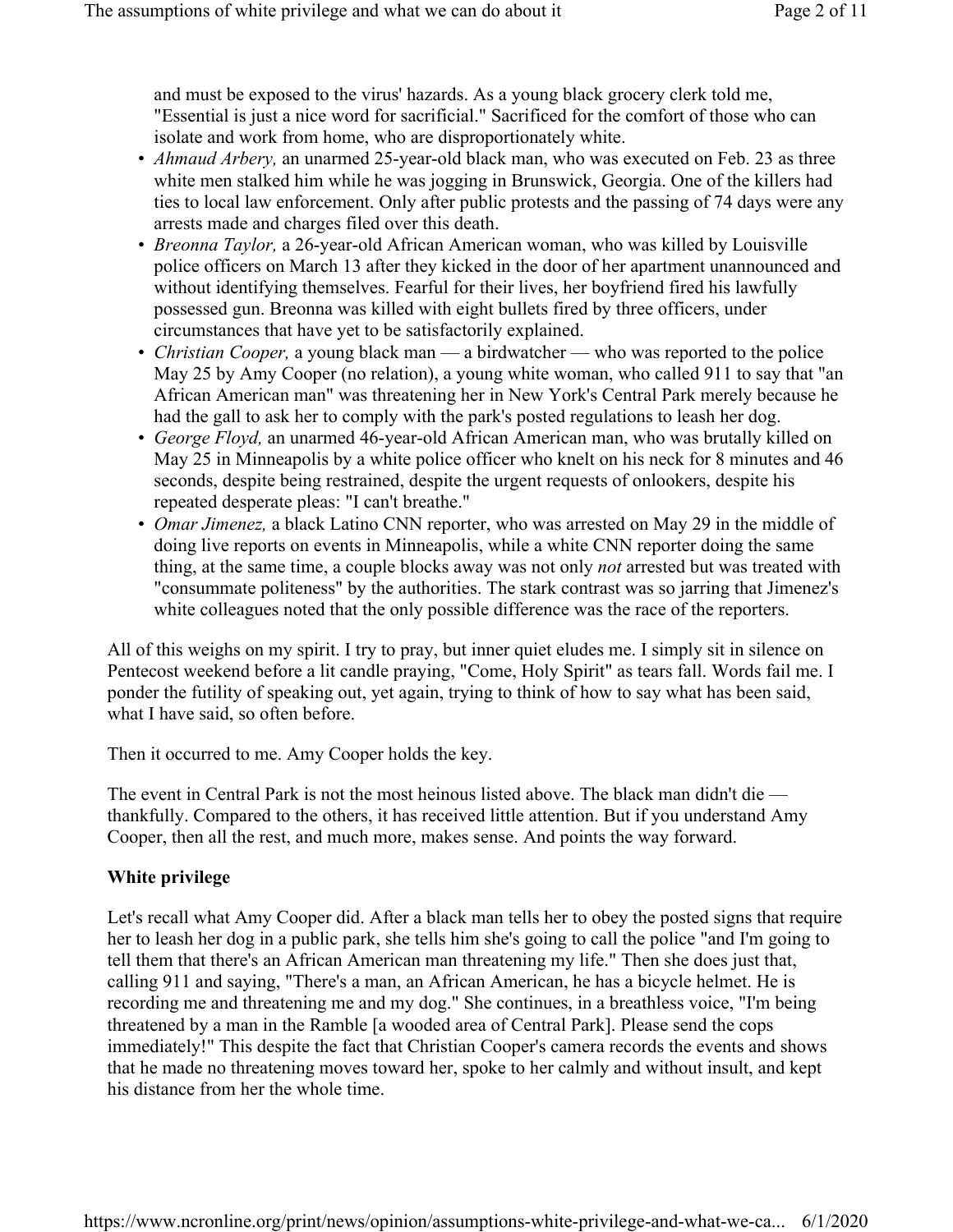and must be exposed to the virus' hazards. As a young black grocery clerk told me, "Essential is just a nice word for sacrificial." Sacrificed for the comfort of those who can isolate and work from home, who are disproportionately white.

- Ahmaud Arbery, an unarmed 25-year-old black man, who was executed on Feb. 23 as three white men stalked him while he was jogging in Brunswick, Georgia. One of the killers had ties to local law enforcement. Only after public protests and the passing of 74 days were any arrests made and charges filed over this death.
- *Breonna Taylor*, a 26-year-old African American woman, who was killed by Louisville police officers on March 13 after they kicked in the door of her apartment unannounced and without identifying themselves. Fearful for their lives, her boyfriend fired his lawfully possessed gun. Breonna was killed with eight bullets fired by three officers, under circumstances that have yet to be satisfactorily explained.
- *Christian Cooper*, a young black man a birdwatcher who was reported to the police May 25 by Amy Cooper (no relation), a young white woman, who called 911 to say that "an African American man" was threatening her in New York's Central Park merely because he had the gall to ask her to comply with the park's posted regulations to leash her dog.
- George Floyd, an unarmed 46-year-old African American man, who was brutally killed on May 25 in Minneapolis by a white police officer who knelt on his neck for 8 minutes and 46 seconds, despite being restrained, despite the urgent requests of onlookers, despite his repeated desperate pleas: "I can't breathe."
- *Omar Jimenez*, a black Latino CNN reporter, who was arrested on May 29 in the middle of doing live reports on events in Minneapolis, while a white CNN reporter doing the same thing, at the same time, a couple blocks away was not only *not* arrested but was treated with "consummate politeness" by the authorities. The stark contrast was so jarring that Jimenez's white colleagues noted that the only possible difference was the race of the reporters.

All of this weighs on my spirit. I try to pray, but inner quiet eludes me. I simply sit in silence on Pentecost weekend before a lit candle praying, "Come, Holy Spirit" as tears fall. Words fail me. I ponder the futility of speaking out, yet again, trying to think of how to say what has been said, what I have said, so often before.

Then it occurred to me. Amy Cooper holds the key.

The event in Central Park is not the most heinous listed above. The black man didn't die thankfully. Compared to the others, it has received little attention. But if you understand Amy Cooper, then all the rest, and much more, makes sense. And points the way forward.

### White privilege

Let's recall what Amy Cooper did. After a black man tells her to obey the posted signs that require her to leash her dog in a public park, she tells him she's going to call the police "and I'm going to tell them that there's an African American man threatening my life." Then she does just that, calling 911 and saying, "There's a man, an African American, he has a bicycle helmet. He is recording me and threatening me and my dog." She continues, in a breathless voice, "I'm being threatened by a man in the Ramble [a wooded area of Central Park]. Please send the cops immediately!" This despite the fact that Christian Cooper's camera records the events and shows that he made no threatening moves toward her, spoke to her calmly and without insult, and kept his distance from her the whole time.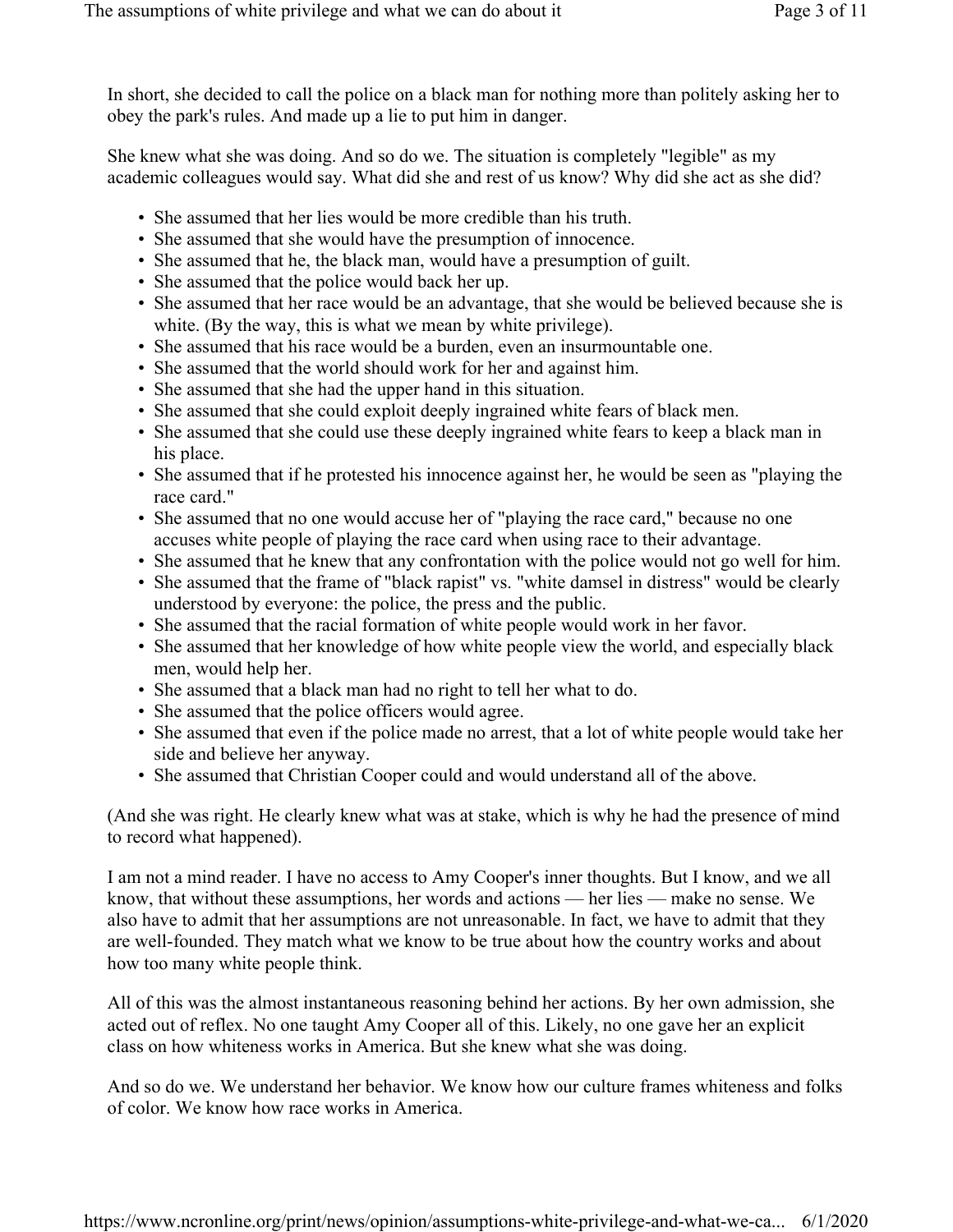In short, she decided to call the police on a black man for nothing more than politely asking her to obey the park's rules. And made up a lie to put him in danger.

She knew what she was doing. And so do we. The situation is completely "legible" as my academic colleagues would say. What did she and rest of us know? Why did she act as she did?

- She assumed that her lies would be more credible than his truth.
- She assumed that she would have the presumption of innocence.
- She assumed that he, the black man, would have a presumption of guilt.
- She assumed that the police would back her up.
- She assumed that her race would be an advantage, that she would be believed because she is white. (By the way, this is what we mean by white privilege).
- She assumed that his race would be a burden, even an insurmountable one.
- She assumed that the world should work for her and against him.
- She assumed that she had the upper hand in this situation.
- She assumed that she could exploit deeply ingrained white fears of black men.
- She assumed that she could use these deeply ingrained white fears to keep a black man in his place.
- She assumed that if he protested his innocence against her, he would be seen as "playing the race card."
- She assumed that no one would accuse her of "playing the race card," because no one accuses white people of playing the race card when using race to their advantage.
- She assumed that he knew that any confrontation with the police would not go well for him.
- She assumed that the frame of "black rapist" vs. "white damsel in distress" would be clearly understood by everyone: the police, the press and the public.
- She assumed that the racial formation of white people would work in her favor.
- She assumed that her knowledge of how white people view the world, and especially black men, would help her.
- She assumed that a black man had no right to tell her what to do.
- She assumed that the police officers would agree.
- She assumed that even if the police made no arrest, that a lot of white people would take her side and believe her anyway.
- She assumed that Christian Cooper could and would understand all of the above.

(And she was right. He clearly knew what was at stake, which is why he had the presence of mind to record what happened).

I am not a mind reader. I have no access to Amy Cooper's inner thoughts. But I know, and we all know, that without these assumptions, her words and actions — her lies — make no sense. We also have to admit that her assumptions are not unreasonable. In fact, we have to admit that they are well-founded. They match what we know to be true about how the country works and about how too many white people think.

All of this was the almost instantaneous reasoning behind her actions. By her own admission, she acted out of reflex. No one taught Amy Cooper all of this. Likely, no one gave her an explicit class on how whiteness works in America. But she knew what she was doing.

And so do we. We understand her behavior. We know how our culture frames whiteness and folks of color. We know how race works in America.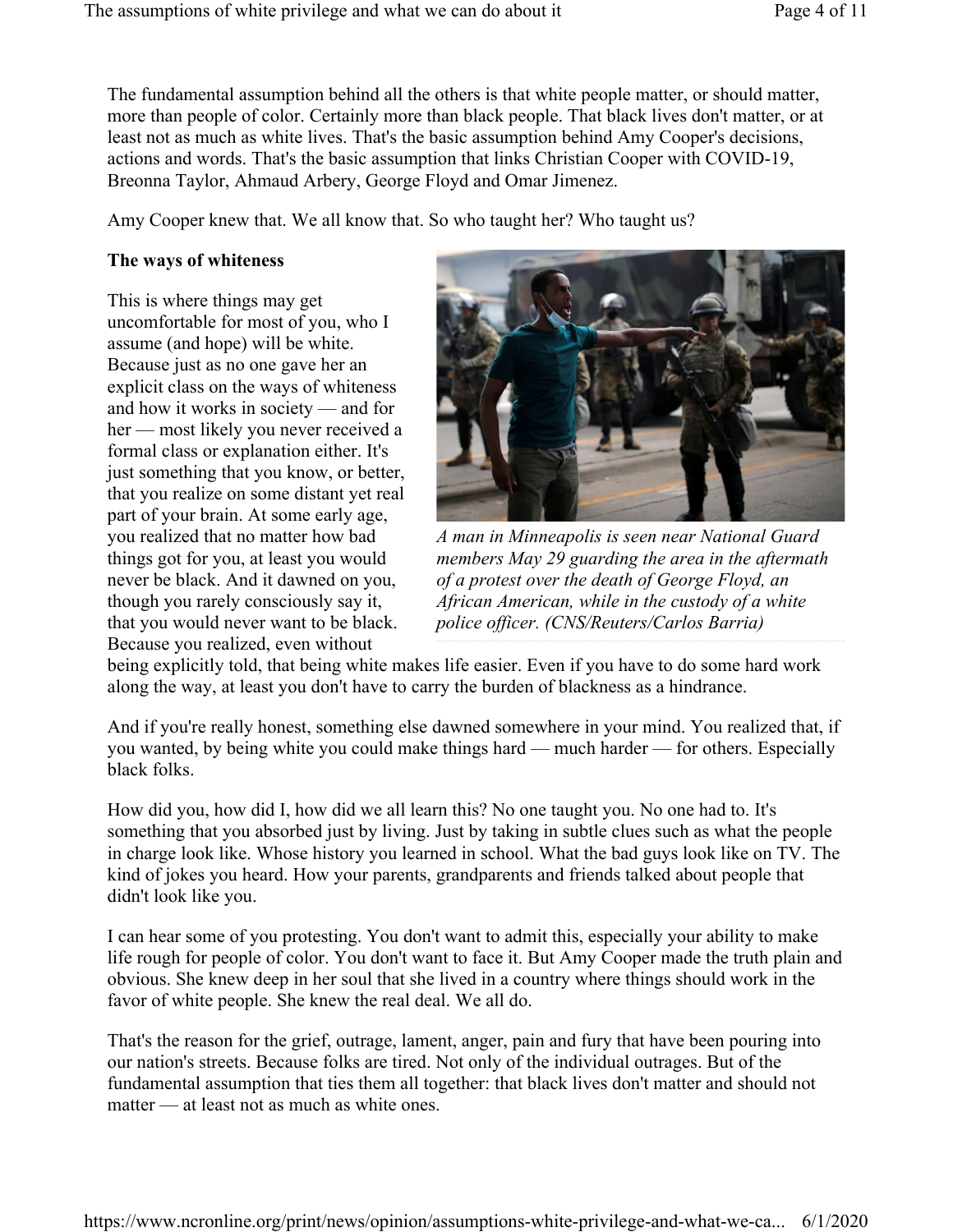The fundamental assumption behind all the others is that white people matter, or should matter, more than people of color. Certainly more than black people. That black lives don't matter, or at least not as much as white lives. That's the basic assumption behind Amy Cooper's decisions, actions and words. That's the basic assumption that links Christian Cooper with COVID-19, Breonna Taylor, Ahmaud Arbery, George Floyd and Omar Jimenez.

Amy Cooper knew that. We all know that. So who taught her? Who taught us?

#### The ways of whiteness

This is where things may get uncomfortable for most of you, who I assume (and hope) will be white. Because just as no one gave her an explicit class on the ways of whiteness and how it works in society — and for her — most likely you never received a formal class or explanation either. It's just something that you know, or better, that you realize on some distant yet real part of your brain. At some early age, you realized that no matter how bad things got for you, at least you would never be black. And it dawned on you, though you rarely consciously say it, that you would never want to be black. Because you realized, even without



A man in Minneapolis is seen near National Guard members May 29 guarding the area in the aftermath of a protest over the death of George Floyd, an African American, while in the custody of a white police officer. (CNS/Reuters/Carlos Barria)

being explicitly told, that being white makes life easier. Even if you have to do some hard work along the way, at least you don't have to carry the burden of blackness as a hindrance.

And if you're really honest, something else dawned somewhere in your mind. You realized that, if you wanted, by being white you could make things hard — much harder — for others. Especially black folks.

How did you, how did I, how did we all learn this? No one taught you. No one had to. It's something that you absorbed just by living. Just by taking in subtle clues such as what the people in charge look like. Whose history you learned in school. What the bad guys look like on TV. The kind of jokes you heard. How your parents, grandparents and friends talked about people that didn't look like you.

I can hear some of you protesting. You don't want to admit this, especially your ability to make life rough for people of color. You don't want to face it. But Amy Cooper made the truth plain and obvious. She knew deep in her soul that she lived in a country where things should work in the favor of white people. She knew the real deal. We all do.

That's the reason for the grief, outrage, lament, anger, pain and fury that have been pouring into our nation's streets. Because folks are tired. Not only of the individual outrages. But of the fundamental assumption that ties them all together: that black lives don't matter and should not matter — at least not as much as white ones.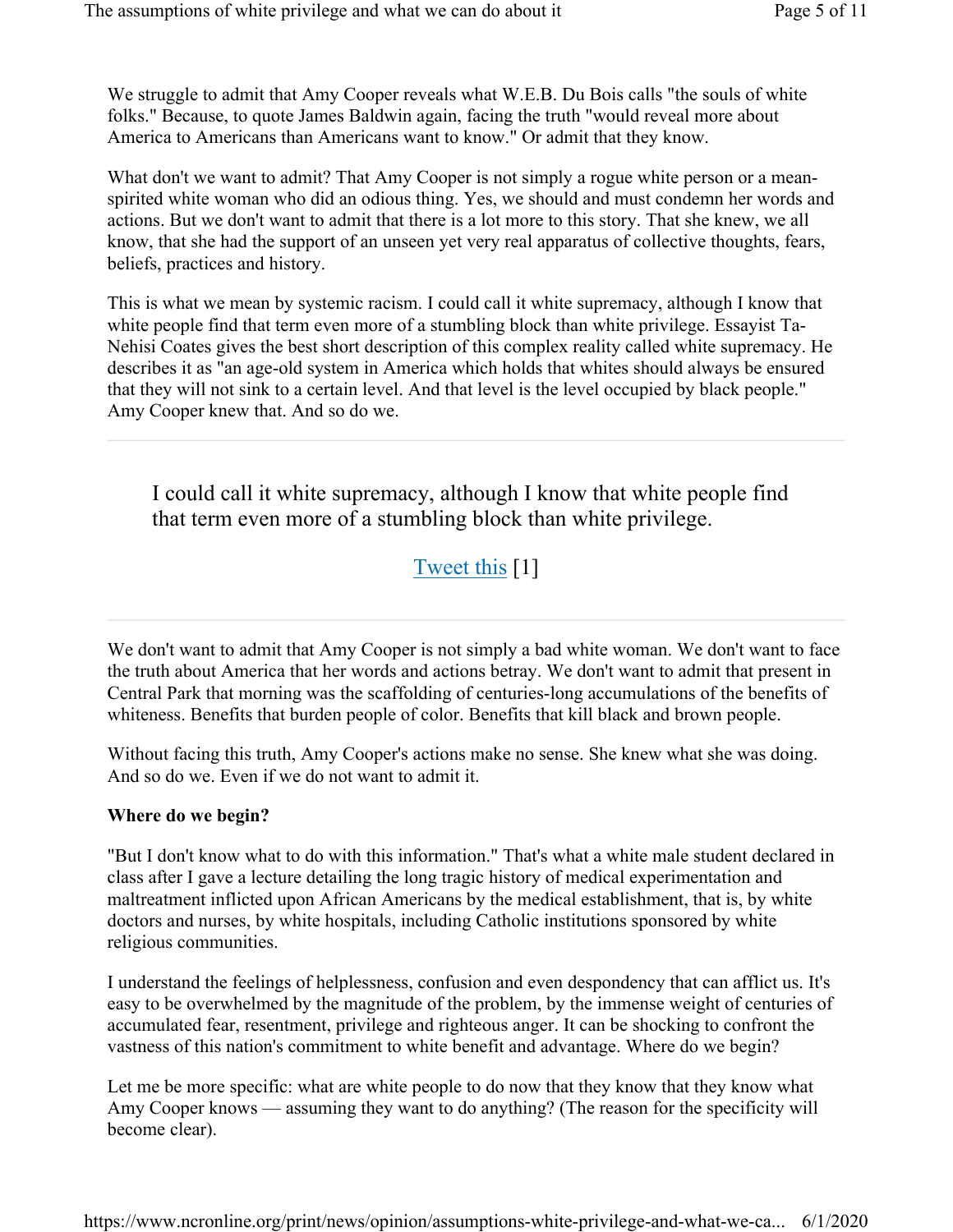We struggle to admit that Amy Cooper reveals what W.E.B. Du Bois calls "the souls of white folks." Because, to quote James Baldwin again, facing the truth "would reveal more about America to Americans than Americans want to know." Or admit that they know.

What don't we want to admit? That Amy Cooper is not simply a rogue white person or a meanspirited white woman who did an odious thing. Yes, we should and must condemn her words and actions. But we don't want to admit that there is a lot more to this story. That she knew, we all know, that she had the support of an unseen yet very real apparatus of collective thoughts, fears, beliefs, practices and history.

This is what we mean by systemic racism. I could call it white supremacy, although I know that white people find that term even more of a stumbling block than white privilege. Essayist Ta-Nehisi Coates gives the best short description of this complex reality called white supremacy. He describes it as "an age-old system in America which holds that whites should always be ensured that they will not sink to a certain level. And that level is the level occupied by black people." Amy Cooper knew that. And so do we.

I could call it white supremacy, although I know that white people find that term even more of a stumbling block than white privilege.

# Tweet this [1]

We don't want to admit that Amy Cooper is not simply a bad white woman. We don't want to face the truth about America that her words and actions betray. We don't want to admit that present in Central Park that morning was the scaffolding of centuries-long accumulations of the benefits of whiteness. Benefits that burden people of color. Benefits that kill black and brown people.

Without facing this truth, Amy Cooper's actions make no sense. She knew what she was doing. And so do we. Even if we do not want to admit it.

### Where do we begin?

"But I don't know what to do with this information." That's what a white male student declared in class after I gave a lecture detailing the long tragic history of medical experimentation and maltreatment inflicted upon African Americans by the medical establishment, that is, by white doctors and nurses, by white hospitals, including Catholic institutions sponsored by white religious communities.

I understand the feelings of helplessness, confusion and even despondency that can afflict us. It's easy to be overwhelmed by the magnitude of the problem, by the immense weight of centuries of accumulated fear, resentment, privilege and righteous anger. It can be shocking to confront the vastness of this nation's commitment to white benefit and advantage. Where do we begin?

Let me be more specific: what are white people to do now that they know that they know what Amy Cooper knows — assuming they want to do anything? (The reason for the specificity will become clear).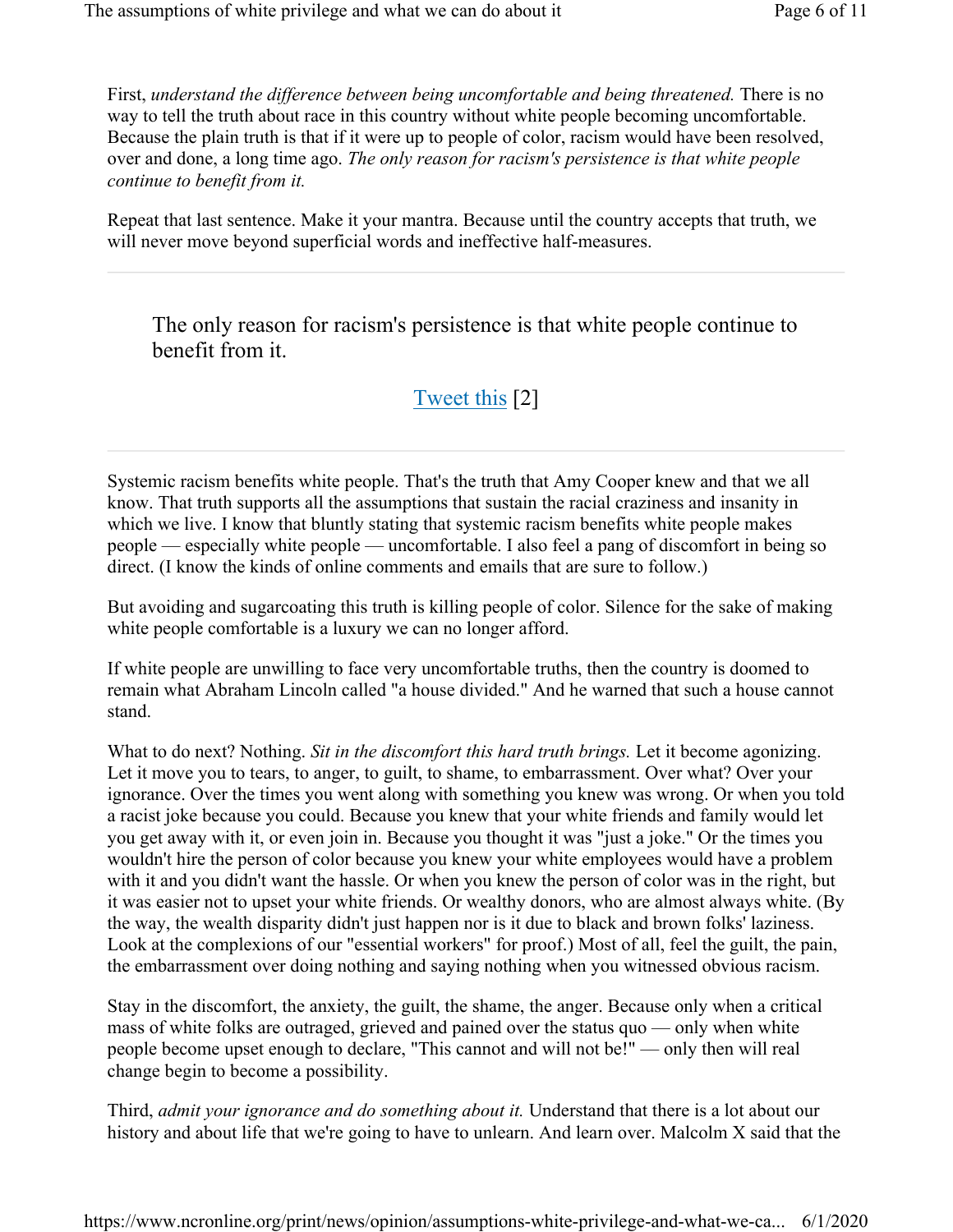First, understand the difference between being uncomfortable and being threatened. There is no way to tell the truth about race in this country without white people becoming uncomfortable. Because the plain truth is that if it were up to people of color, racism would have been resolved, over and done, a long time ago. The only reason for racism's persistence is that white people continue to benefit from it.

Repeat that last sentence. Make it your mantra. Because until the country accepts that truth, we will never move beyond superficial words and ineffective half-measures.

The only reason for racism's persistence is that white people continue to benefit from it.

## Tweet this [2]

Systemic racism benefits white people. That's the truth that Amy Cooper knew and that we all know. That truth supports all the assumptions that sustain the racial craziness and insanity in which we live. I know that bluntly stating that systemic racism benefits white people makes people — especially white people — uncomfortable. I also feel a pang of discomfort in being so direct. (I know the kinds of online comments and emails that are sure to follow.)

But avoiding and sugarcoating this truth is killing people of color. Silence for the sake of making white people comfortable is a luxury we can no longer afford.

If white people are unwilling to face very uncomfortable truths, then the country is doomed to remain what Abraham Lincoln called "a house divided." And he warned that such a house cannot stand.

What to do next? Nothing. Sit in the discomfort this hard truth brings. Let it become agonizing. Let it move you to tears, to anger, to guilt, to shame, to embarrassment. Over what? Over your ignorance. Over the times you went along with something you knew was wrong. Or when you told a racist joke because you could. Because you knew that your white friends and family would let you get away with it, or even join in. Because you thought it was "just a joke." Or the times you wouldn't hire the person of color because you knew your white employees would have a problem with it and you didn't want the hassle. Or when you knew the person of color was in the right, but it was easier not to upset your white friends. Or wealthy donors, who are almost always white. (By the way, the wealth disparity didn't just happen nor is it due to black and brown folks' laziness. Look at the complexions of our "essential workers" for proof.) Most of all, feel the guilt, the pain, the embarrassment over doing nothing and saying nothing when you witnessed obvious racism.

Stay in the discomfort, the anxiety, the guilt, the shame, the anger. Because only when a critical mass of white folks are outraged, grieved and pained over the status quo — only when white people become upset enough to declare, "This cannot and will not be!" — only then will real change begin to become a possibility.

Third, *admit your ignorance and do something about it*. Understand that there is a lot about our history and about life that we're going to have to unlearn. And learn over. Malcolm X said that the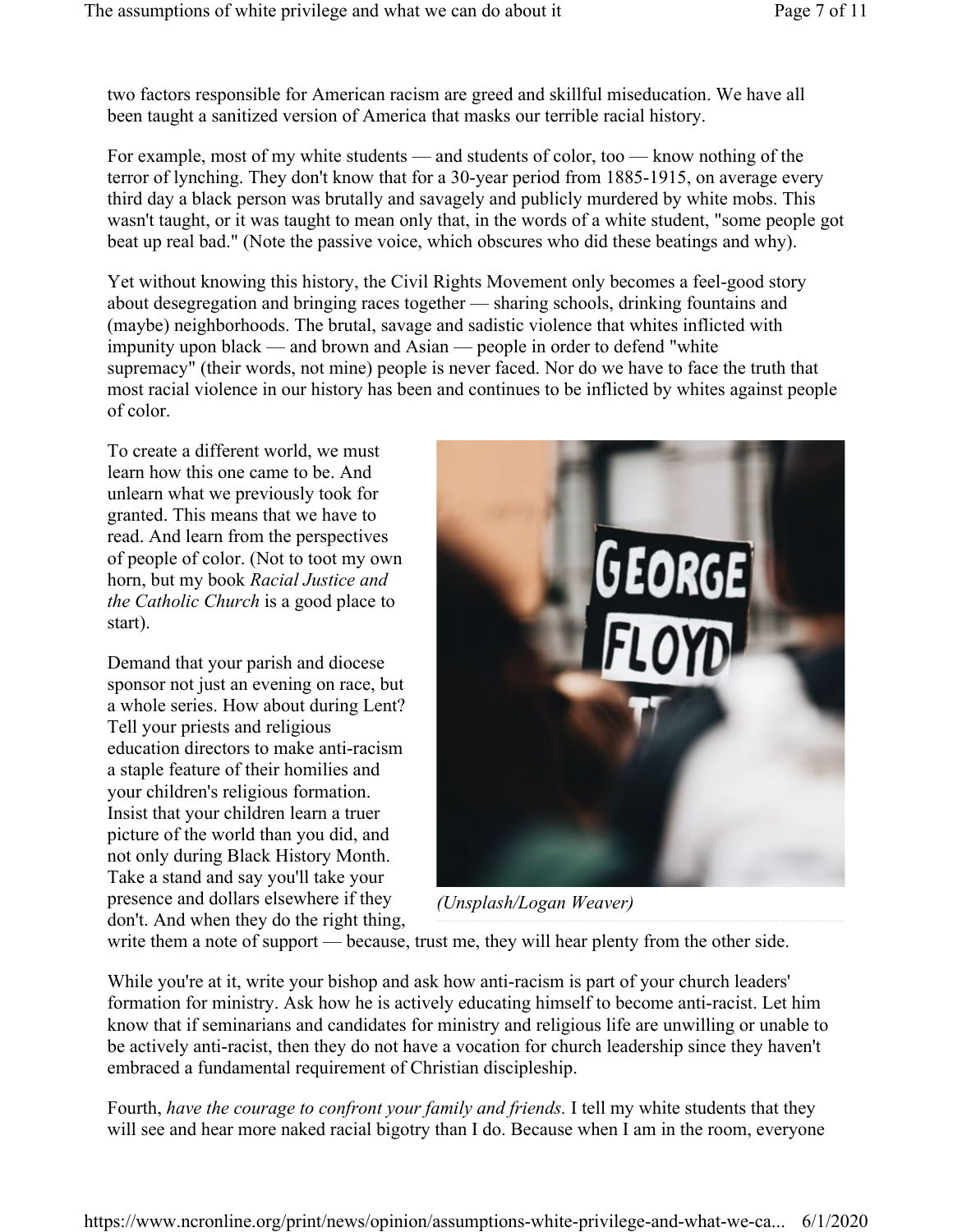two factors responsible for American racism are greed and skillful miseducation. We have all been taught a sanitized version of America that masks our terrible racial history.

For example, most of my white students — and students of color, too — know nothing of the terror of lynching. They don't know that for a 30-year period from 1885-1915, on average every third day a black person was brutally and savagely and publicly murdered by white mobs. This wasn't taught, or it was taught to mean only that, in the words of a white student, "some people got beat up real bad." (Note the passive voice, which obscures who did these beatings and why).

Yet without knowing this history, the Civil Rights Movement only becomes a feel-good story about desegregation and bringing races together — sharing schools, drinking fountains and (maybe) neighborhoods. The brutal, savage and sadistic violence that whites inflicted with impunity upon black — and brown and Asian — people in order to defend "white supremacy" (their words, not mine) people is never faced. Nor do we have to face the truth that most racial violence in our history has been and continues to be inflicted by whites against people of color.

To create a different world, we must learn how this one came to be. And unlearn what we previously took for granted. This means that we have to read. And learn from the perspectives of people of color. (Not to toot my own horn, but my book Racial Justice and the Catholic Church is a good place to start).

Demand that your parish and diocese sponsor not just an evening on race, but a whole series. How about during Lent? Tell your priests and religious education directors to make anti-racism a staple feature of their homilies and your children's religious formation. Insist that your children learn a truer picture of the world than you did, and not only during Black History Month. Take a stand and say you'll take your presence and dollars elsewhere if they don't. And when they do the right thing,



(Unsplash/Logan Weaver)

write them a note of support — because, trust me, they will hear plenty from the other side.

While you're at it, write your bishop and ask how anti-racism is part of your church leaders' formation for ministry. Ask how he is actively educating himself to become anti-racist. Let him know that if seminarians and candidates for ministry and religious life are unwilling or unable to be actively anti-racist, then they do not have a vocation for church leadership since they haven't embraced a fundamental requirement of Christian discipleship.

Fourth, have the courage to confront your family and friends. I tell my white students that they will see and hear more naked racial bigotry than I do. Because when I am in the room, everyone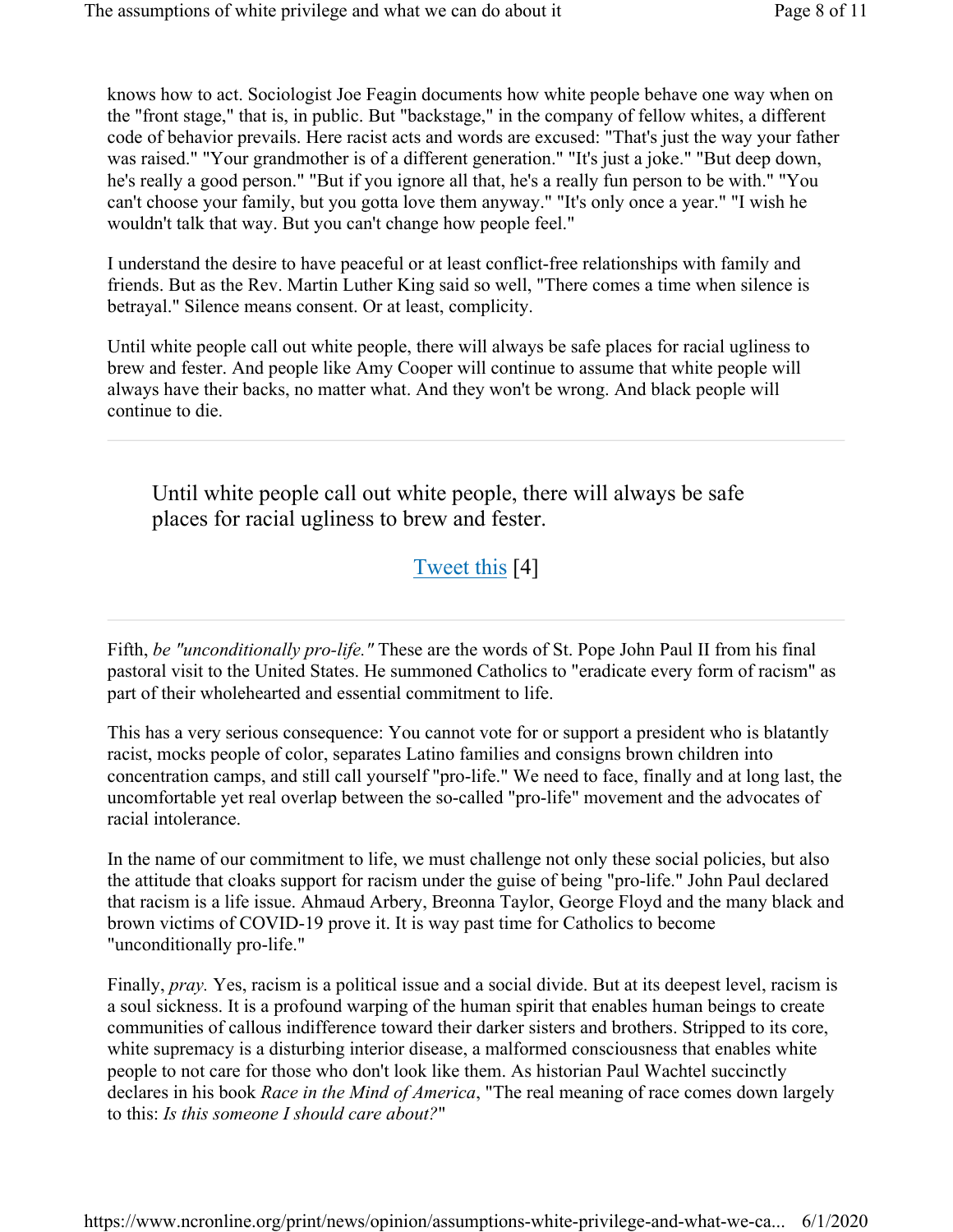knows how to act. Sociologist Joe Feagin documents how white people behave one way when on the "front stage," that is, in public. But "backstage," in the company of fellow whites, a different code of behavior prevails. Here racist acts and words are excused: "That's just the way your father was raised." "Your grandmother is of a different generation." "It's just a joke." "But deep down, he's really a good person." "But if you ignore all that, he's a really fun person to be with." "You can't choose your family, but you gotta love them anyway." "It's only once a year." "I wish he wouldn't talk that way. But you can't change how people feel."

I understand the desire to have peaceful or at least conflict-free relationships with family and friends. But as the Rev. Martin Luther King said so well, "There comes a time when silence is betrayal." Silence means consent. Or at least, complicity.

Until white people call out white people, there will always be safe places for racial ugliness to brew and fester. And people like Amy Cooper will continue to assume that white people will always have their backs, no matter what. And they won't be wrong. And black people will continue to die.

Until white people call out white people, there will always be safe places for racial ugliness to brew and fester.

# Tweet this [4]

Fifth, be "unconditionally pro-life." These are the words of St. Pope John Paul II from his final pastoral visit to the United States. He summoned Catholics to "eradicate every form of racism" as part of their wholehearted and essential commitment to life.

This has a very serious consequence: You cannot vote for or support a president who is blatantly racist, mocks people of color, separates Latino families and consigns brown children into concentration camps, and still call yourself "pro-life." We need to face, finally and at long last, the uncomfortable yet real overlap between the so-called "pro-life" movement and the advocates of racial intolerance.

In the name of our commitment to life, we must challenge not only these social policies, but also the attitude that cloaks support for racism under the guise of being "pro-life." John Paul declared that racism is a life issue. Ahmaud Arbery, Breonna Taylor, George Floyd and the many black and brown victims of COVID-19 prove it. It is way past time for Catholics to become "unconditionally pro-life."

Finally, pray. Yes, racism is a political issue and a social divide. But at its deepest level, racism is a soul sickness. It is a profound warping of the human spirit that enables human beings to create communities of callous indifference toward their darker sisters and brothers. Stripped to its core, white supremacy is a disturbing interior disease, a malformed consciousness that enables white people to not care for those who don't look like them. As historian Paul Wachtel succinctly declares in his book *Race in the Mind of America*, "The real meaning of race comes down largely to this: Is this someone I should care about?"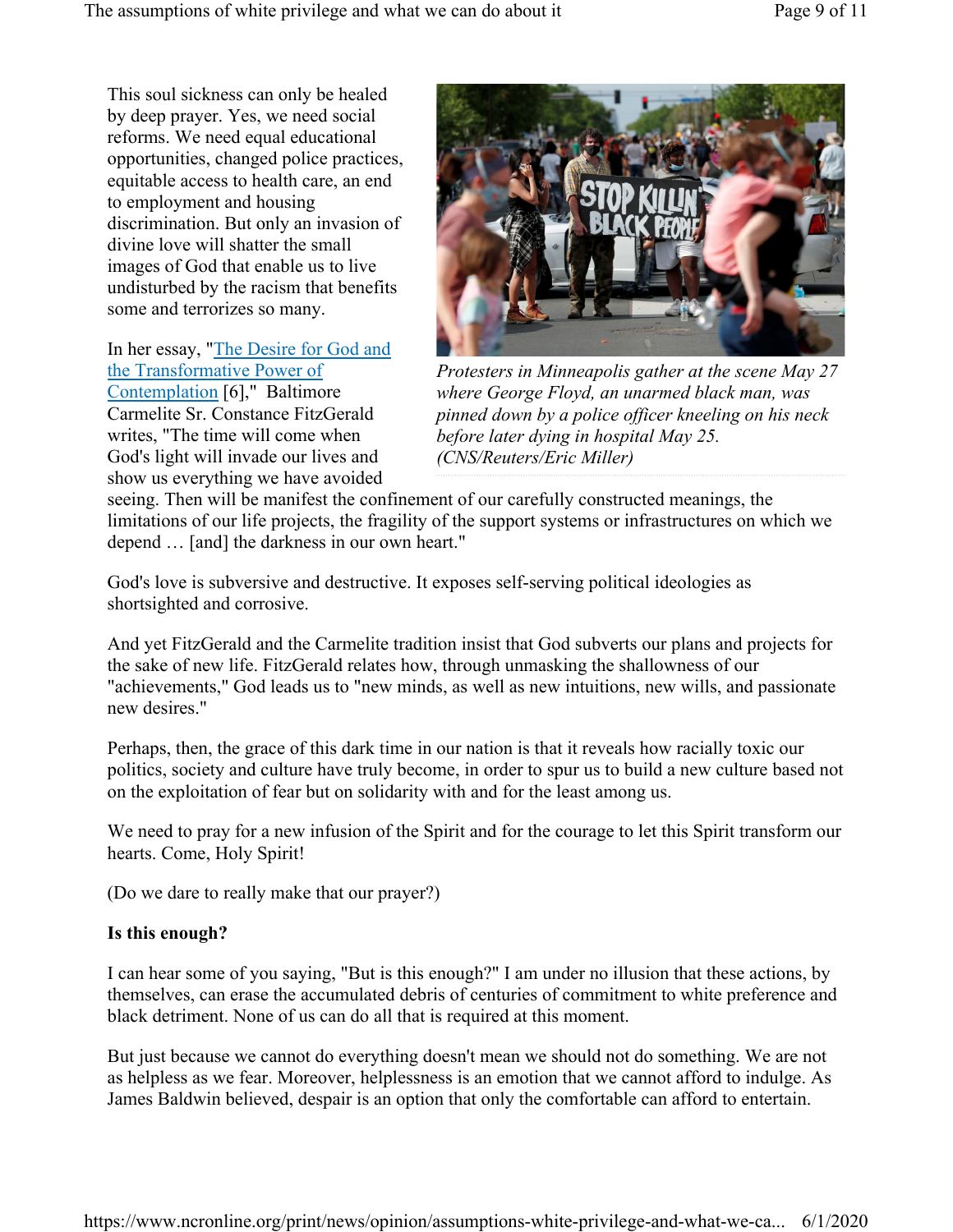This soul sickness can only be healed by deep prayer. Yes, we need social reforms. We need equal educational opportunities, changed police practices, equitable access to health care, an end to employment and housing discrimination. But only an invasion of divine love will shatter the small images of God that enable us to live undisturbed by the racism that benefits some and terrorizes so many.

In her essay, "The Desire for God and the Transformative Power of Contemplation [6]," Baltimore Carmelite Sr. Constance FitzGerald writes, "The time will come when God's light will invade our lives and show us everything we have avoided



Protesters in Minneapolis gather at the scene May 27 where George Floyd, an unarmed black man, was pinned down by a police officer kneeling on his neck before later dying in hospital May 25. (CNS/Reuters/Eric Miller)

seeing. Then will be manifest the confinement of our carefully constructed meanings, the limitations of our life projects, the fragility of the support systems or infrastructures on which we depend … [and] the darkness in our own heart."

God's love is subversive and destructive. It exposes self-serving political ideologies as shortsighted and corrosive.

And yet FitzGerald and the Carmelite tradition insist that God subverts our plans and projects for the sake of new life. FitzGerald relates how, through unmasking the shallowness of our "achievements," God leads us to "new minds, as well as new intuitions, new wills, and passionate new desires."

Perhaps, then, the grace of this dark time in our nation is that it reveals how racially toxic our politics, society and culture have truly become, in order to spur us to build a new culture based not on the exploitation of fear but on solidarity with and for the least among us.

We need to pray for a new infusion of the Spirit and for the courage to let this Spirit transform our hearts. Come, Holy Spirit!

(Do we dare to really make that our prayer?)

### Is this enough?

I can hear some of you saying, "But is this enough?" I am under no illusion that these actions, by themselves, can erase the accumulated debris of centuries of commitment to white preference and black detriment. None of us can do all that is required at this moment.

But just because we cannot do everything doesn't mean we should not do something. We are not as helpless as we fear. Moreover, helplessness is an emotion that we cannot afford to indulge. As James Baldwin believed, despair is an option that only the comfortable can afford to entertain.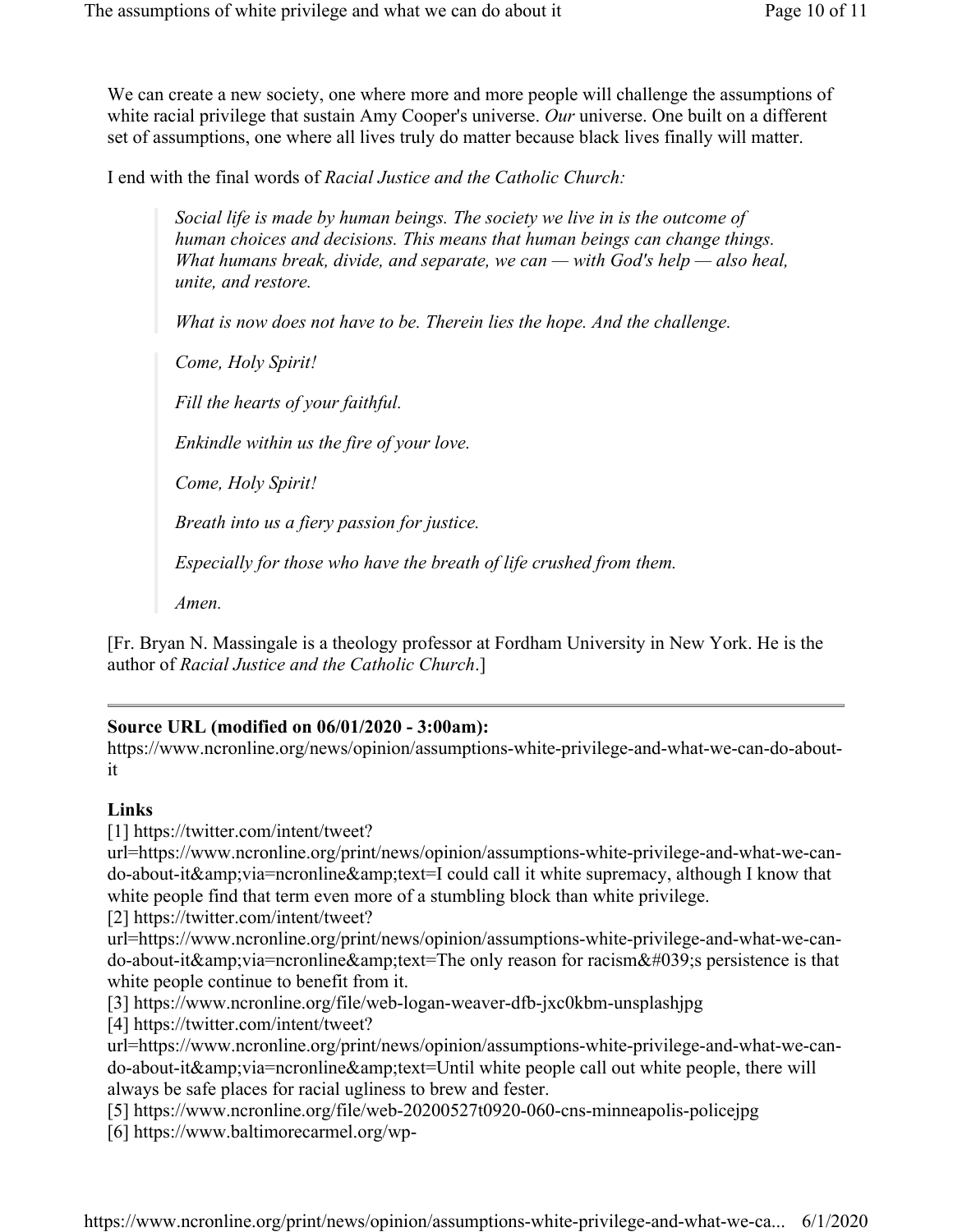We can create a new society, one where more and more people will challenge the assumptions of white racial privilege that sustain Amy Cooper's universe. Our universe. One built on a different set of assumptions, one where all lives truly do matter because black lives finally will matter.

I end with the final words of Racial Justice and the Catholic Church:

Social life is made by human beings. The society we live in is the outcome of human choices and decisions. This means that human beings can change things. What humans break, divide, and separate, we can — with God's help — also heal, unite, and restore.

What is now does not have to be. Therein lies the hope. And the challenge.

Come, Holy Spirit!

Fill the hearts of your faithful.

Enkindle within us the fire of your love.

Come, Holy Spirit!

Breath into us a fiery passion for justice.

Especially for those who have the breath of life crushed from them.

Amen.

[Fr. Bryan N. Massingale is a theology professor at Fordham University in New York. He is the author of Racial Justice and the Catholic Church.]

#### Source URL (modified on 06/01/2020 - 3:00am):

https://www.ncronline.org/news/opinion/assumptions-white-privilege-and-what-we-can-do-aboutit

#### Links

[1] https://twitter.com/intent/tweet?

url=https://www.ncronline.org/print/news/opinion/assumptions-white-privilege-and-what-we-cando-about-it&via=ncronline&text=I could call it white supremacy, although I know that white people find that term even more of a stumbling block than white privilege.

[2] https://twitter.com/intent/tweet?

url=https://www.ncronline.org/print/news/opinion/assumptions-white-privilege-and-what-we-cando-about-it&via=ncronline&text=The only reason for racism's persistence is that white people continue to benefit from it.

[3] https://www.ncronline.org/file/web-logan-weaver-dfb-jxc0kbm-unsplashjpg

[4] https://twitter.com/intent/tweet?

url=https://www.ncronline.org/print/news/opinion/assumptions-white-privilege-and-what-we-cando-about-it&via=ncronline&text=Until white people call out white people, there will always be safe places for racial ugliness to brew and fester.

[5] https://www.ncronline.org/file/web-20200527t0920-060-cns-minneapolis-policejpg [6] https://www.baltimorecarmel.org/wp